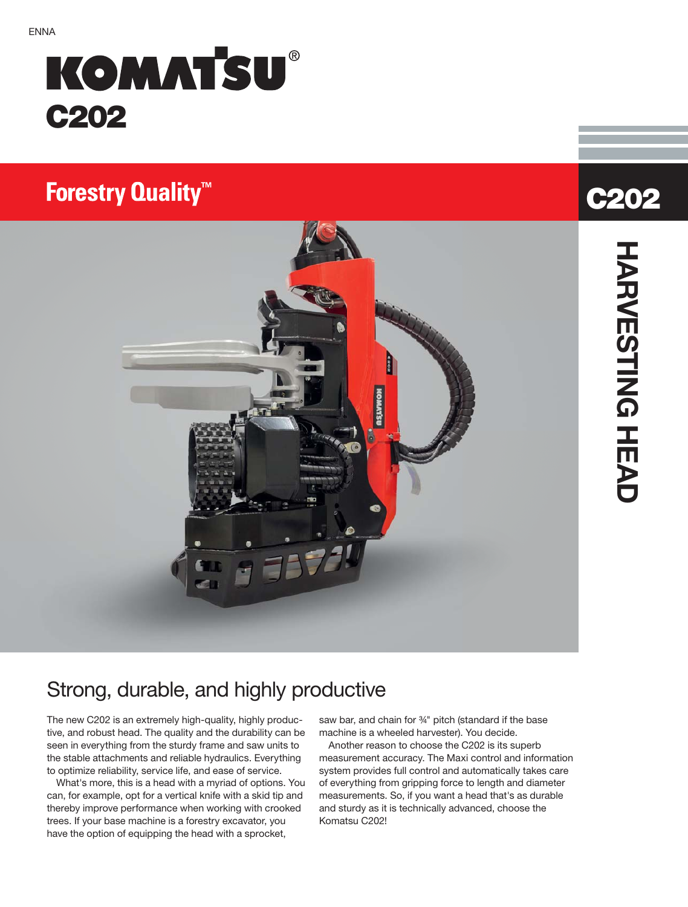# **KOMATSU® C202**

# **Forestry Quality<sup>™</sup>**



# **C202**<br>
HVESING HEVD **HARVESTING HEAD**

## Strong, durable, and highly productive

The new C202 is an extremely high-quality, highly productive, and robust head. The quality and the durability can be seen in everything from the sturdy frame and saw units to the stable attachments and reliable hydraulics. Everything to optimize reliability, service life, and ease of service.

What's more, this is a head with a myriad of options. You can, for example, opt for a vertical knife with a skid tip and thereby improve performance when working with crooked trees. If your base machine is a forestry excavator, you have the option of equipping the head with a sprocket,

saw bar, and chain for 3<sup>4</sup> pitch (standard if the base machine is a wheeled harvester). You decide.

Another reason to choose the C202 is its superb measurement accuracy. The Maxi control and information system provides full control and automatically takes care of everything from gripping force to length and diameter measurements. So, if you want a head that's as durable and sturdy as it is technically advanced, choose the Komatsu C202!